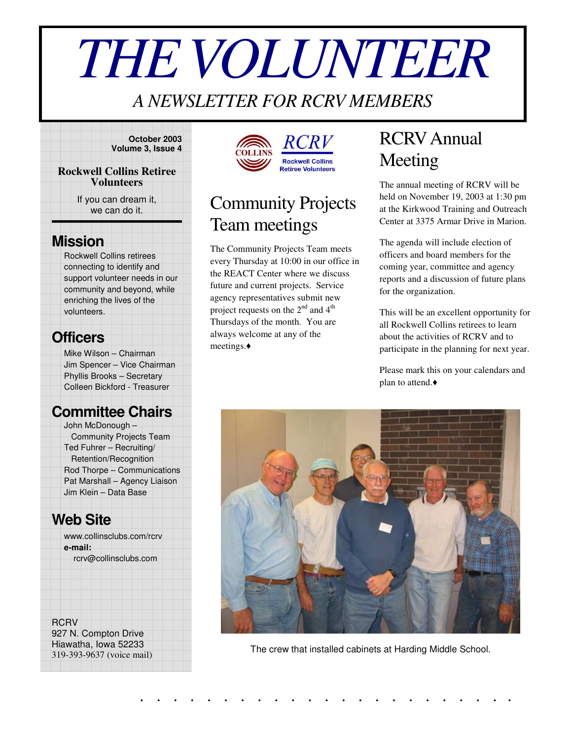# *THEVOLUNTEER*

### *A NEWSLETTER FOR RCRV MEMBERS*

**October 2003 Volume 3, Issue 4**

#### **Rockwell Collins Retiree Volunteers**

If you can dream it, we can do it.

### **Mission**

Rockwell Collins retirees connecting to identify and support volunteer needs in our community and beyond, while enriching the lives of the volunteers.

### **Officers**

Mike Wilson – Chairman Jim Spencer – Vice Chairman Phyllis Brooks – Secretary Colleen Bickford - Treasurer

### **Committee Chairs**

John McDonough – Community Projects Team Ted Fuhrer – Recruiting/ Retention/Recognition Rod Thorpe – Communications Pat Marshall – Agency Liaison Jim Klein – Data Base

### **Web Site**

www.collinsclubs.com/rcrv **e-mail:** rcrv@collinsclubs.com

**RCRV** 927 N. Compton Drive Hiawatha, Iowa 52233

319-393-9637 (voice mail)





### Community Projects Team meetings

The Community Projects Team meets every Thursday at 10:00 in our office in the REACT Center where we discuss future and current projects. Service agency representatives submit new project requests on the  $2^{nd}$  and  $4^{th}$ Thursdays of the month. You are always welcome at any of the meetings.

# RCRVAnnual Meeting

The annual meeting of RCRV will be held on November 19, 2003 at 1:30 pm at the Kirkwood Training and Outreach Center at 3375 Armar Drive in Marion.

The agenda will include election of officers and board members for the coming year, committee and agency reports and a discussion of future plans for the organization.

This will be an excellent opportunity for all Rockwell Collins retirees to learn about the activities of RCRV and to participate in the planning for next year.

Please mark this on your calendars and plan to attend.



The crew that installed cabinets at Harding Middle School.

. . . . . . . . . . . . . . . . . . . . . . .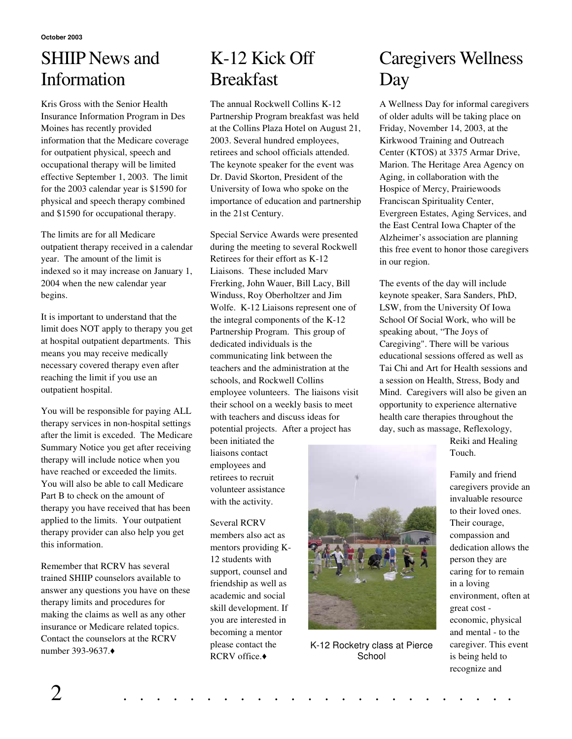## SHIIP News and Information

Kris Gross with the Senior Health Insurance Information Program in Des Moines has recently provided information that the Medicare coverage for outpatient physical, speech and occupational therapy will be limited effective September 1, 2003. The limit for the 2003 calendar year is \$1590 for physical and speech therapy combined and \$1590 for occupational therapy.

The limits are for all Medicare outpatient therapy received in a calendar year. The amount of the limit is indexed so it may increase on January 1, 2004 when the new calendar year begins.

It is important to understand that the limit does NOT apply to therapy you get at hospital outpatient departments. This means you may receive medically necessary covered therapy even after reaching the limit if you use an outpatient hospital.

You will be responsible for paying ALL therapy services in non-hospital settings after the limit is exceded. The Medicare Summary Notice you get after receiving therapy will include notice when you have reached or exceeded the limits. You will also be able to call Medicare Part B to check on the amount of therapy you have received that has been applied to the limits. Your outpatient therapy provider can also help you get this information.

Remember that RCRV has several trained SHIIP counselors available to answer any questions you have on these therapy limits and procedures for making the claims as well as any other insurance or Medicare related topics. Contact the counselors at the RCRV number 393-9637.

## K-12 Kick Off **Breakfast**

The annual Rockwell Collins K-12 Partnership Program breakfast was held at the Collins Plaza Hotel on August 21, 2003. Several hundred employees, retirees and school officials attended. The keynote speaker for the event was Dr. David Skorton, President of the University of Iowa who spoke on the importance of education and partnership in the 21st Century.

Special Service Awards were presented during the meeting to several Rockwell Retirees for their effort as K-12 Liaisons. These included Marv Frerking, John Wauer, Bill Lacy, Bill Winduss, Roy Oberholtzer and Jim Wolfe. K-12 Liaisons represent one of the integral components of the K-12 Partnership Program. This group of dedicated individuals is the communicating link between the teachers and the administration at the schools, and Rockwell Collins employee volunteers. The liaisons visit their school on a weekly basis to meet with teachers and discuss ideas for potential projects. After a project has

been initiated the liaisons contact employees and retirees to recruit volunteer assistance with the activity.

Several RCRV members also act as mentors providing K-12 students with support, counsel and friendship as well as academic and social skill development. If you are interested in becoming a mentor please contact the RCRV office.◆



K-12 Rocketry class at Pierce **School** 

### Caregivers Wellness Day

A Wellness Day for informal caregivers of older adults will be taking place on Friday, November 14, 2003, at the Kirkwood Training and Outreach Center (KTOS) at 3375 Armar Drive, Marion. The Heritage Area Agency on Aging, in collaboration with the Hospice of Mercy, Prairiewoods Franciscan Spirituality Center, Evergreen Estates, Aging Services, and the East Central Iowa Chapter of the Alzheimer's association are planning this free event to honor those caregivers in our region.

The events of the day will include keynote speaker, Sara Sanders, PhD, LSW, from the University Of Iowa School Of Social Work, who will be speaking about, "The Joys of Caregiving". There will be various educational sessions offered as well as Tai Chi and Art for Health sessions and a session on Health, Stress, Body and Mind. Caregivers will also be given an opportunity to experience alternative health care therapies throughout the day, such as massage, Reflexology,

> Reiki and Healing Touch.

Family and friend caregivers provide an invaluable resource to their loved ones. Their courage, compassion and dedication allows the person they are caring for to remain in a loving environment, often at great cost economic, physical and mental - to the caregiver. This event is being held to recognize and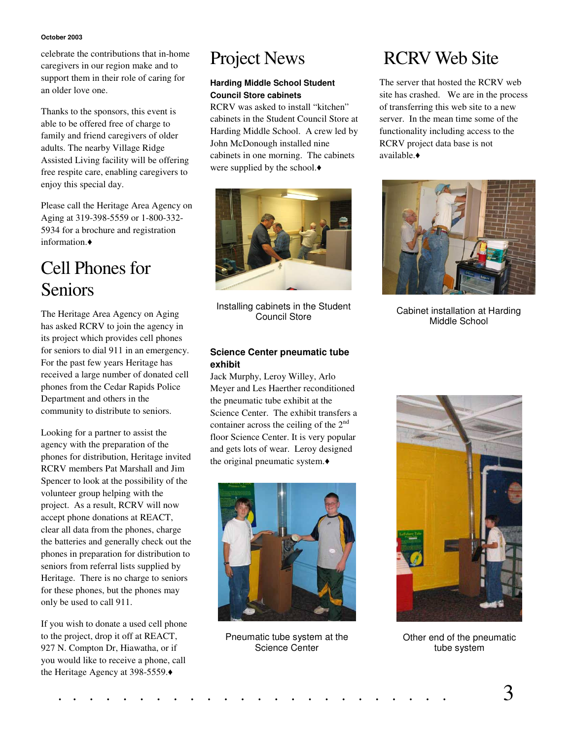#### **October 2003**

celebrate the contributions that in-home caregivers in our region make and to support them in their role of caring for an older love one.

Thanks to the sponsors, this event is able to be offered free of charge to family and friend caregivers of older adults. The nearby Village Ridge Assisted Living facility will be offering free respite care, enabling caregivers to enjoy this special day.

Please call the Heritage Area Agency on Aging at 319-398-5559 or 1-800-332- 5934 for a brochure and registration information.

### Cell Phones for Seniors

The Heritage Area Agency on Aging has asked RCRV to join the agency in its project which provides cell phones for seniors to dial 911 in an emergency. For the past few years Heritage has received a large number of donated cell phones from the Cedar Rapids Police Department and others in the community to distribute to seniors.

Looking for a partner to assist the agency with the preparation of the phones for distribution, Heritage invited RCRV members Pat Marshall and Jim Spencer to look at the possibility of the volunteer group helping with the project. As a result, RCRV will now accept phone donations at REACT, clear all data from the phones, charge the batteries and generally check out the phones in preparation for distribution to seniors from referral lists supplied by Heritage. There is no charge to seniors for these phones, but the phones may only be used to call 911.

If you wish to donate a used cell phone to the project, drop it off at REACT, 927 N. Compton Dr, Hiawatha, or if you would like to receive a phone, call the Heritage Agency at 398-5559.

### Project News

#### **Harding Middle School Student Council Store cabinets**

RCRV was asked to install "kitchen" cabinets in the Student Council Store at Harding Middle School. A crew led by John McDonough installed nine cabinets in one morning. The cabinets were supplied by the school.



Installing cabinets in the Student Council Store

#### **Science Center pneumatic tube exhibit**

Jack Murphy, Leroy Willey, Arlo Meyer and Les Haerther reconditioned the pneumatic tube exhibit at the Science Center. The exhibit transfers a container across the ceiling of the 2<sup>nd</sup> floor Science Center. It is very popular and gets lots of wear. Leroy designed the original pneumatic system.



Pneumatic tube system at the Science Center

### RCRV Web Site

The server that hosted the RCRV web site has crashed. We are in the process of transferring this web site to a new server. In the mean time some of the functionality including access to the RCRV project data base is not available.



Cabinet installation at Harding Middle School



Other end of the pneumatic tube system